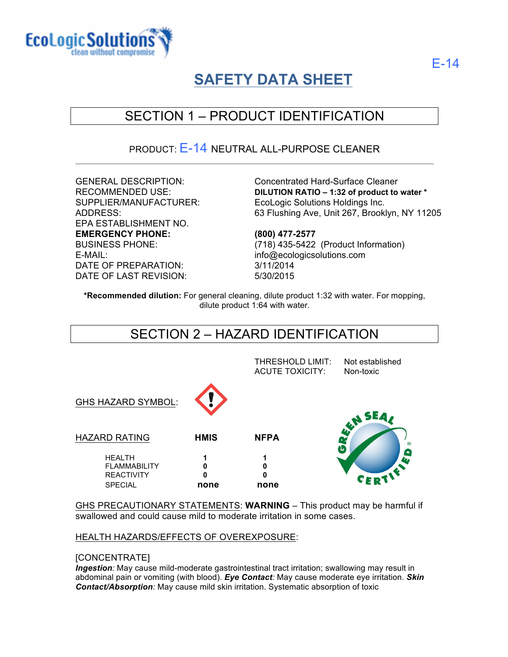

# **SAFETY DATA SHEET**

# SECTION 1 – PRODUCT IDENTIFICATION

#### PRODUCT: E-14 NEUTRAL ALL-PURPOSE CLEANER

EPA ESTABLISHMENT NO. **EMERGENCY PHONE: (800) 477-2577** E-MAIL: info@ecologicsolutions.com DATE OF PREPARATION: 3/11/2014 DATE OF LAST REVISION: 5/30/2015

GENERAL DESCRIPTION: Concentrated Hard-Surface Cleaner RECOMMENDED USE: **DILUTION RATIO – 1:32 of product to water \*** SUPPLIER/MANUFACTURER: EcoLogic Solutions Holdings Inc. ADDRESS: 63 Flushing Ave, Unit 267, Brooklyn, NY 11205

BUSINESS PHONE: (718) 435-5422 (Product Information)

**\*Recommended dilution:** For general cleaning, dilute product 1:32 with water. For mopping, dilute product 1:64 with water.

## SECTION 2 – HAZARD IDENTIFICATION



GHS PRECAUTIONARY STATEMENTS: **WARNING** – This product may be harmful if swallowed and could cause mild to moderate irritation in some cases.

#### HEALTH HAZARDS/EFFECTS OF OVEREXPOSURE:

#### [CONCENTRATE]

*Ingestion:* May cause mild-moderate gastrointestinal tract irritation; swallowing may result in abdominal pain or vomiting (with blood). *Eye Contact:* May cause moderate eye irritation. *Skin Contact/Absorption:* May cause mild skin irritation. Systematic absorption of toxic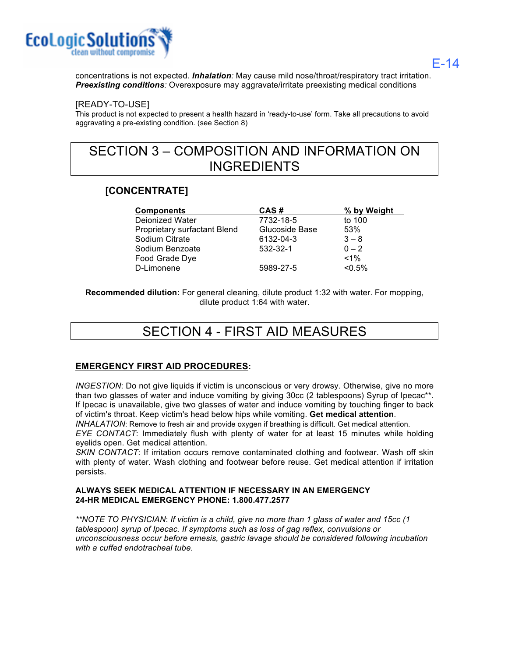

**E-14 E-14** 

concentrations is not expected. *Inhalation:* May cause mild nose/throat/respiratory tract irritation. *Preexisting conditions:* Overexposure may aggravate/irritate preexisting medical conditions

#### [READY-TO-USE]

This product is not expected to present a health hazard in 'ready-to-use' form. Take all precautions to avoid aggravating a pre-existing condition. (see Section 8)

## SECTION 3 – COMPOSITION AND INFORMATION ON INGREDIENTS

#### **[CONCENTRATE]**

| <b>Components</b>            | CAS#           | % by Weight |
|------------------------------|----------------|-------------|
| Deionized Water              | 7732-18-5      | to 100      |
| Proprietary surfactant Blend | Glucoside Base | 53%         |
| Sodium Citrate               | 6132-04-3      | $3 - 8$     |
| Sodium Benzoate              | 532-32-1       | $0 - 2$     |
| Food Grade Dye               |                | $< 1\%$     |
| D-Limonene                   | 5989-27-5      | $< 0.5\%$   |

**Recommended dilution:** For general cleaning, dilute product 1:32 with water. For mopping, dilute product 1:64 with water.

# SECTION 4 - FIRST AID MEASURES

#### **EMERGENCY FIRST AID PROCEDURES:**

*INGESTION*: Do not give liquids if victim is unconscious or very drowsy. Otherwise, give no more than two glasses of water and induce vomiting by giving 30cc (2 tablespoons) Syrup of Ipecac\*\*. If Ipecac is unavailable, give two glasses of water and induce vomiting by touching finger to back of victim's throat. Keep victim's head below hips while vomiting. **Get medical attention**.

*INHALATION*: Remove to fresh air and provide oxygen if breathing is difficult. Get medical attention. *EYE CONTACT*: Immediately flush with plenty of water for at least 15 minutes while holding eyelids open. Get medical attention.

*SKIN CONTACT*: If irritation occurs remove contaminated clothing and footwear. Wash off skin with plenty of water. Wash clothing and footwear before reuse. Get medical attention if irritation persists.

#### **ALWAYS SEEK MEDICAL ATTENTION IF NECESSARY IN AN EMERGENCY 24-HR MEDICAL EMERGENCY PHONE: 1.800.477.2577**

*\*\*NOTE TO PHYSICIAN*: *If victim is a child, give no more than 1 glass of water and 15cc (1 tablespoon) syrup of Ipecac. If symptoms such as loss of gag reflex, convulsions or unconsciousness occur before emesis, gastric lavage should be considered following incubation with a cuffed endotracheal tube*.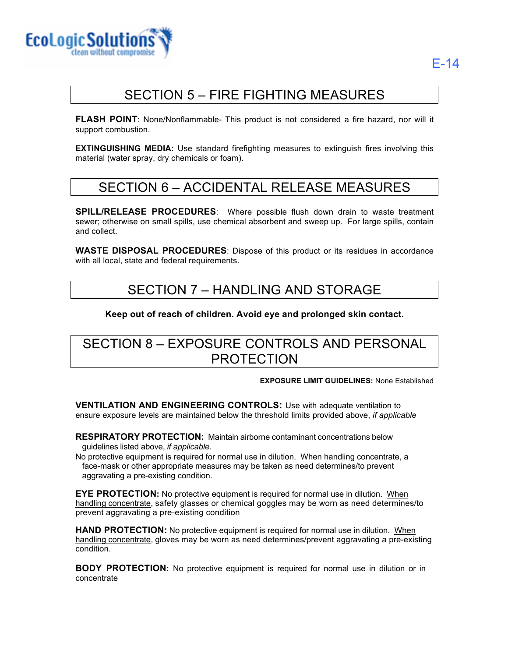

# SECTION 5 – FIRE FIGHTING MEASURES

**FLASH POINT**: None/Nonflammable- This product is not considered a fire hazard, nor will it support combustion.

**EXTINGUISHING MEDIA:** Use standard firefighting measures to extinguish fires involving this material (water spray, dry chemicals or foam).

### SECTION 6 – ACCIDENTAL RELEASE MEASURES

**SPILL/RELEASE PROCEDURES**: Where possible flush down drain to waste treatment sewer; otherwise on small spills, use chemical absorbent and sweep up. For large spills, contain and collect.

**WASTE DISPOSAL PROCEDURES**: Dispose of this product or its residues in accordance with all local, state and federal requirements.

## SECTION 7 – HANDLING AND STORAGE

#### **Keep out of reach of children. Avoid eye and prolonged skin contact.**

## SECTION 8 – EXPOSURE CONTROLS AND PERSONAL PROTECTION

#### **EXPOSURE LIMIT GUIDELINES:** None Established

**VENTILATION AND ENGINEERING CONTROLS:** Use with adequate ventilation to ensure exposure levels are maintained below the threshold limits provided above, *if applicable*

**RESPIRATORY PROTECTION:** Maintain airborne contaminant concentrations below guidelines listed above, *if applicable*.

No protective equipment is required for normal use in dilution. When handling concentrate, a face-mask or other appropriate measures may be taken as need determines/to prevent aggravating a pre-existing condition.

**EYE PROTECTION:** No protective equipment is required for normal use in dilution. When handling concentrate, safety glasses or chemical goggles may be worn as need determines/to prevent aggravating a pre-existing condition

**HAND PROTECTION:** No protective equipment is required for normal use in dilution. When handling concentrate, gloves may be worn as need determines/prevent aggravating a pre-existing condition.

**BODY PROTECTION:** No protective equipment is required for normal use in dilution or in concentrate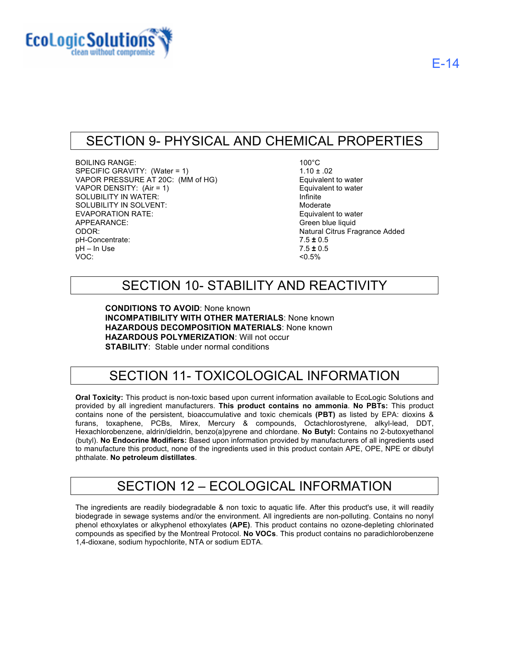

## SECTION 9- PHYSICAL AND CHEMICAL PROPERTIES

BOILING RANGE: 100°C SPECIFIC GRAVITY: (Water = 1)  $1.10 \pm .02$ VAPOR PRESSURE AT 20C: (MM of HG) Equivalent to water VAPOR DENSITY: (Air = 1) Equivalent to water SOLUBILITY IN WATER: Infinite SOLUBILITY IN SOLVENT: Moderate EVAPORATION RATE: Equivalent to water APPEARANCE: Green blue liquid pH-Concentrate: pH – In Use VOC:

Natural Citrus Fragrance Added 7.5 **±** 0.5 7.5 **±** 0.5  $< 0.5\%$ 

# SECTION 10- STABILITY AND REACTIVITY

**CONDITIONS TO AVOID**: None known **INCOMPATIBILITY WITH OTHER MATERIALS**: None known **HAZARDOUS DECOMPOSITION MATERIALS**: None known **HAZARDOUS POLYMERIZATION**: Will not occur **STABILITY**: Stable under normal conditions

# SECTION 11- TOXICOLOGICAL INFORMATION

**Oral Toxicity:** This product is non-toxic based upon current information available to EcoLogic Solutions and provided by all ingredient manufacturers. **This product contains no ammonia**. **No PBTs:** This product contains none of the persistent, bioaccumulative and toxic chemicals **(PBT)** as listed by EPA: dioxins & furans, toxaphene, PCBs, Mirex, Mercury & compounds, Octachlorostyrene, alkyl-lead, DDT, Hexachlorobenzene, aldrin/dieldrin, benzo(a)pyrene and chlordane. **No Butyl:** Contains no 2-butoxyethanol (butyl). **No Endocrine Modifiers:** Based upon information provided by manufacturers of all ingredients used to manufacture this product, none of the ingredients used in this product contain APE, OPE, NPE or dibutyl phthalate. **No petroleum distillates**.

# SECTION 12 – ECOLOGICAL INFORMATION

The ingredients are readily biodegradable & non toxic to aquatic life. After this product's use, it will readily biodegrade in sewage systems and/or the environment. All ingredients are non-polluting. Contains no nonyl phenol ethoxylates or alkyphenol ethoxylates **(APE)**. This product contains no ozone-depleting chlorinated compounds as specified by the Montreal Protocol. **No VOCs**. This product contains no paradichlorobenzene 1,4-dioxane, sodium hypochlorite, NTA or sodium EDTA.